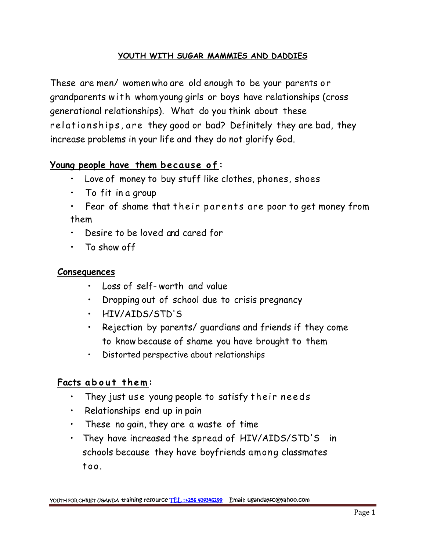## **YOUTH WITH SUGAR MAMMIES AND DADDIES**

These are men/ women who are old enough to be your parents or grandparents with whom young girls or boys have relationships (cross generational relationships). What do you think about these These are men/ women who are old enough to be your parents or<br>grandparents with whom young girls or boys have relationships (cross<br>generational relationships). What do you think about these<br>relationships, are they good or increase problems in your life and they do not glorify God. relationships, are they good or bad? Definitely they are bad, they<br>increase problems in your life and they do not glorify God.<br>**Young people have them because of:**<br>• Love of money to buy stuff like clothes phones shoes

- Love of money to buy stuff like clothes, phones, shoes
- To fit in a group
- g people have them because of:<br>• Love of money to buy stuff like clothes, phones, shoes<br>• To fit in a group<br>• Fear of shame that their parents are poor to get money from<br>them them
- Desire to be loved and cared for
- To show off

### **Consequences**

- Loss of self-worth and value
- Dropping out of school due to crisis pregnancy
- HIV/AIDS/STD'S
- Rejection by parents/ guardians and friends if they come to know because of shame you have brought to them **Facts about them:**<br>• They just use young people to satisfy their needs<br>• They just use young people to satisfy their needs
	- Distorted perspective about relationships

- 
- Relationships end up in pain
- These no gain, they are a waste of time
- They have increased the spread of HIV/AIDS/STD'S in schools because they have boyfriends among classmates too.